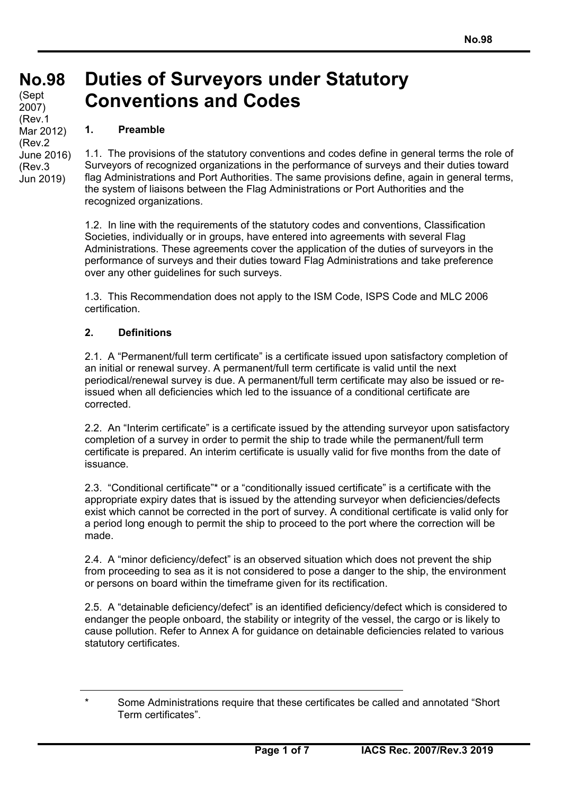# **No.98 No.98**

(Sept 2007) (Rev.1 Mar 2012) (Rev.2 June 2016) (Rev.3 Jun 2019)

### **Duties of Surveyors under Statutory Conventions and Codes**

### **1. Preamble**

1.1. The provisions of the statutory conventions and codes define in general terms the role of Surveyors of recognized organizations in the performance of surveys and their duties toward flag Administrations and Port Authorities. The same provisions define, again in general terms, the system of liaisons between the Flag Administrations or Port Authorities and the recognized organizations.

1.2. In line with the requirements of the statutory codes and conventions, Classification Societies, individually or in groups, have entered into agreements with several Flag Administrations. These agreements cover the application of the duties of surveyors in the performance of surveys and their duties toward Flag Administrations and take preference over any other guidelines for such surveys.

1.3. This Recommendation does not apply to the ISM Code, ISPS Code and MLC 2006 certification.

#### **2. Definitions**

2.1. A "Permanent/full term certificate" is a certificate issued upon satisfactory completion of an initial or renewal survey. A permanent/full term certificate is valid until the next periodical/renewal survey is due. A permanent/full term certificate may also be issued or reissued when all deficiencies which led to the issuance of a conditional certificate are corrected.

2.2. An "Interim certificate" is a certificate issued by the attending surveyor upon satisfactory completion of a survey in order to permit the ship to trade while the permanent/full term certificate is prepared. An interim certificate is usually valid for five months from the date of issuance.

2.3. "Conditional certificate"\* or a "conditionally issued certificate" is a certificate with the appropriate expiry dates that is issued by the attending surveyor when deficiencies/defects exist which cannot be corrected in the port of survey. A conditional certificate is valid only for a period long enough to permit the ship to proceed to the port where the correction will be made.

2.4. A "minor deficiency/defect" is an observed situation which does not prevent the ship from proceeding to sea as it is not considered to pose a danger to the ship, the environment or persons on board within the timeframe given for its rectification.

2.5. A "detainable deficiency/defect" is an identified deficiency/defect which is considered to endanger the people onboard, the stability or integrity of the vessel, the cargo or is likely to cause pollution. Refer to Annex A for guidance on detainable deficiencies related to various statutory certificates.

Some Administrations require that these certificates be called and annotated "Short Term certificates".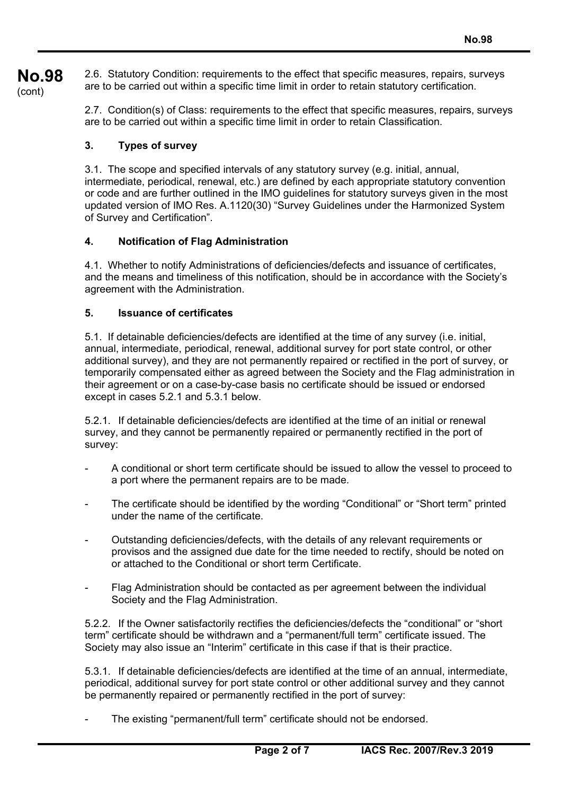**No.98**  (cont) 2.6. Statutory Condition: requirements to the effect that specific measures, repairs, surveys are to be carried out within a specific time limit in order to retain statutory certification.

> 2.7. Condition(s) of Class: requirements to the effect that specific measures, repairs, surveys are to be carried out within a specific time limit in order to retain Classification.

#### **3. Types of survey**

3.1. The scope and specified intervals of any statutory survey (e.g. initial, annual, intermediate, periodical, renewal, etc.) are defined by each appropriate statutory convention or code and are further outlined in the IMO guidelines for statutory surveys given in the most updated version of IMO Res. A.1120(30) "Survey Guidelines under the Harmonized System of Survey and Certification".

#### **4. Notification of Flag Administration**

4.1. Whether to notify Administrations of deficiencies/defects and issuance of certificates, and the means and timeliness of this notification, should be in accordance with the Society's agreement with the Administration.

#### **5. Issuance of certificates**

5.1. If detainable deficiencies/defects are identified at the time of any survey (i.e. initial, annual, intermediate, periodical, renewal, additional survey for port state control, or other additional survey), and they are not permanently repaired or rectified in the port of survey, or temporarily compensated either as agreed between the Society and the Flag administration in their agreement or on a case-by-case basis no certificate should be issued or endorsed except in cases 5.2.1 and 5.3.1 below.

5.2.1. If detainable deficiencies/defects are identified at the time of an initial or renewal survey, and they cannot be permanently repaired or permanently rectified in the port of survey:

- A conditional or short term certificate should be issued to allow the vessel to proceed to a port where the permanent repairs are to be made.
- The certificate should be identified by the wording "Conditional" or "Short term" printed under the name of the certificate.
- Outstanding deficiencies/defects, with the details of any relevant requirements or provisos and the assigned due date for the time needed to rectify, should be noted on or attached to the Conditional or short term Certificate.
- Flag Administration should be contacted as per agreement between the individual Society and the Flag Administration.

5.2.2. If the Owner satisfactorily rectifies the deficiencies/defects the "conditional" or "short term" certificate should be withdrawn and a "permanent/full term" certificate issued. The Society may also issue an "Interim" certificate in this case if that is their practice.

5.3.1. If detainable deficiencies/defects are identified at the time of an annual, intermediate, periodical, additional survey for port state control or other additional survey and they cannot be permanently repaired or permanently rectified in the port of survey:

The existing "permanent/full term" certificate should not be endorsed.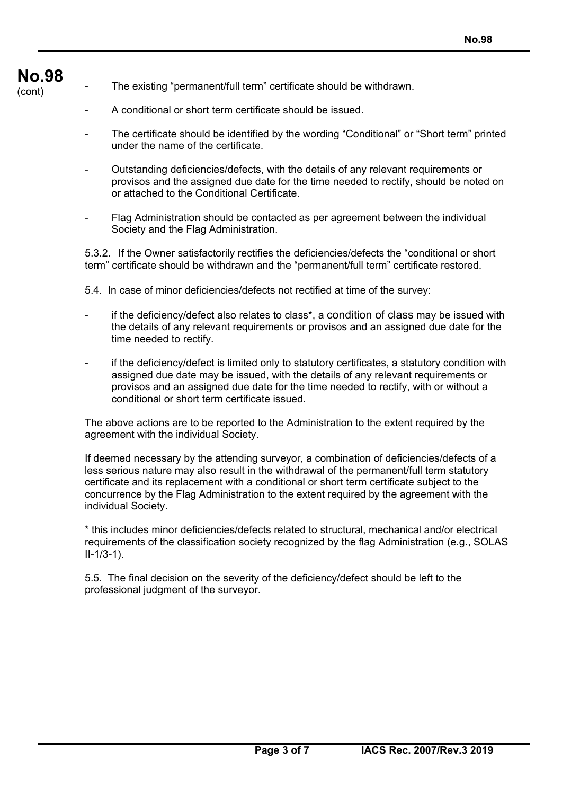## **No.98**

- The existing "permanent/full term" certificate should be withdrawn.
	- A conditional or short term certificate should be issued.
	- The certificate should be identified by the wording "Conditional" or "Short term" printed under the name of the certificate.
	- Outstanding deficiencies/defects, with the details of any relevant requirements or provisos and the assigned due date for the time needed to rectify, should be noted on or attached to the Conditional Certificate.
	- Flag Administration should be contacted as per agreement between the individual Society and the Flag Administration.

5.3.2. If the Owner satisfactorily rectifies the deficiencies/defects the "conditional or short term" certificate should be withdrawn and the "permanent/full term" certificate restored.

- 5.4. In case of minor deficiencies/defects not rectified at time of the survey:
- if the deficiency/defect also relates to class\*, a condition of class may be issued with the details of any relevant requirements or provisos and an assigned due date for the time needed to rectify.
- if the deficiency/defect is limited only to statutory certificates, a statutory condition with assigned due date may be issued, with the details of any relevant requirements or provisos and an assigned due date for the time needed to rectify, with or without a conditional or short term certificate issued.

The above actions are to be reported to the Administration to the extent required by the agreement with the individual Society.

If deemed necessary by the attending surveyor, a combination of deficiencies/defects of a less serious nature may also result in the withdrawal of the permanent/full term statutory certificate and its replacement with a conditional or short term certificate subject to the concurrence by the Flag Administration to the extent required by the agreement with the individual Society.

\* this includes minor deficiencies/defects related to structural, mechanical and/or electrical requirements of the classification society recognized by the flag Administration (e.g., SOLAS II-1/3-1).

5.5. The final decision on the severity of the deficiency/defect should be left to the professional judgment of the surveyor.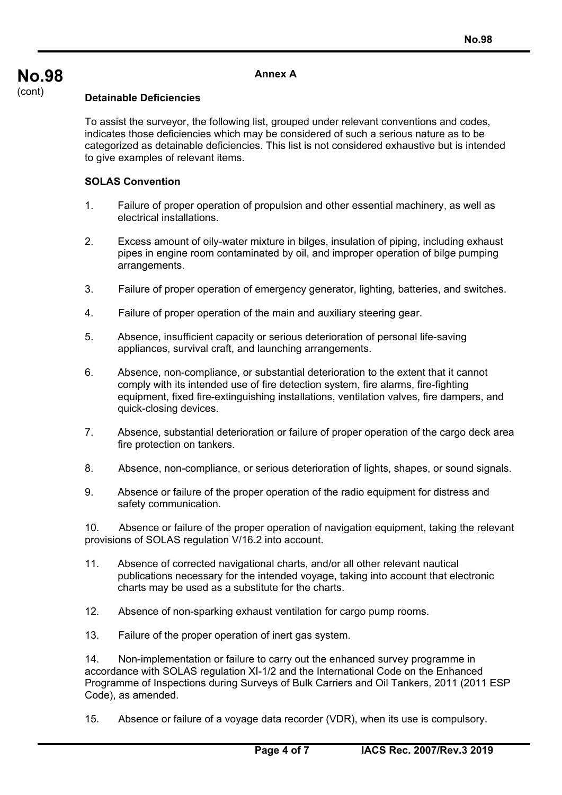#### **Annex A**

#### **Detainable Deficiencies**

To assist the surveyor, the following list, grouped under relevant conventions and codes, indicates those deficiencies which may be considered of such a serious nature as to be categorized as detainable deficiencies. This list is not considered exhaustive but is intended to give examples of relevant items.

#### **SOLAS Convention**

- 1. Failure of proper operation of propulsion and other essential machinery, as well as electrical installations.
- 2. Excess amount of oily-water mixture in bilges, insulation of piping, including exhaust pipes in engine room contaminated by oil, and improper operation of bilge pumping arrangements.
- 3. Failure of proper operation of emergency generator, lighting, batteries, and switches.
- 4. Failure of proper operation of the main and auxiliary steering gear.
- 5. Absence, insufficient capacity or serious deterioration of personal life-saving appliances, survival craft, and launching arrangements.
- 6. Absence, non-compliance, or substantial deterioration to the extent that it cannot comply with its intended use of fire detection system, fire alarms, fire-fighting equipment, fixed fire-extinguishing installations, ventilation valves, fire dampers, and quick-closing devices.
- 7. Absence, substantial deterioration or failure of proper operation of the cargo deck area fire protection on tankers.
- 8. Absence, non-compliance, or serious deterioration of lights, shapes, or sound signals.
- 9. Absence or failure of the proper operation of the radio equipment for distress and safety communication.

10. Absence or failure of the proper operation of navigation equipment, taking the relevant provisions of SOLAS regulation V/16.2 into account.

- 11. Absence of corrected navigational charts, and/or all other relevant nautical publications necessary for the intended voyage, taking into account that electronic charts may be used as a substitute for the charts.
- 12. Absence of non-sparking exhaust ventilation for cargo pump rooms.
- 13. Failure of the proper operation of inert gas system.

14. Non-implementation or failure to carry out the enhanced survey programme in accordance with SOLAS regulation XI-1/2 and the International Code on the Enhanced Programme of Inspections during Surveys of Bulk Carriers and Oil Tankers, 2011 (2011 ESP Code), as amended.

15. Absence or failure of a voyage data recorder (VDR), when its use is compulsory.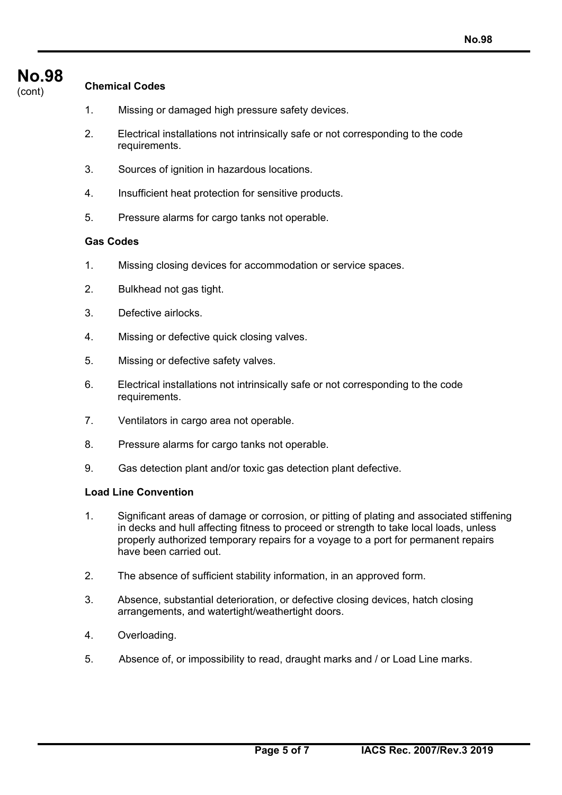## **No.98**

### **Chemical Codes**

- 1. Missing or damaged high pressure safety devices.
- 2. Electrical installations not intrinsically safe or not corresponding to the code requirements.
- 3. Sources of ignition in hazardous locations.
- 4. Insufficient heat protection for sensitive products.
- 5. Pressure alarms for cargo tanks not operable.

#### **Gas Codes**

- 1. Missing closing devices for accommodation or service spaces.
- 2. Bulkhead not gas tight.
- 3. Defective airlocks.
- 4. Missing or defective quick closing valves.
- 5. Missing or defective safety valves.
- 6. Electrical installations not intrinsically safe or not corresponding to the code requirements.
- 7. Ventilators in cargo area not operable.
- 8. Pressure alarms for cargo tanks not operable.
- 9. Gas detection plant and/or toxic gas detection plant defective.

#### **Load Line Convention**

- 1. Significant areas of damage or corrosion, or pitting of plating and associated stiffening in decks and hull affecting fitness to proceed or strength to take local loads, unless properly authorized temporary repairs for a voyage to a port for permanent repairs have been carried out.
- 2. The absence of sufficient stability information, in an approved form.
- 3. Absence, substantial deterioration, or defective closing devices, hatch closing arrangements, and watertight/weathertight doors.
- 4. Overloading.
- 5. Absence of, or impossibility to read, draught marks and / or Load Line marks.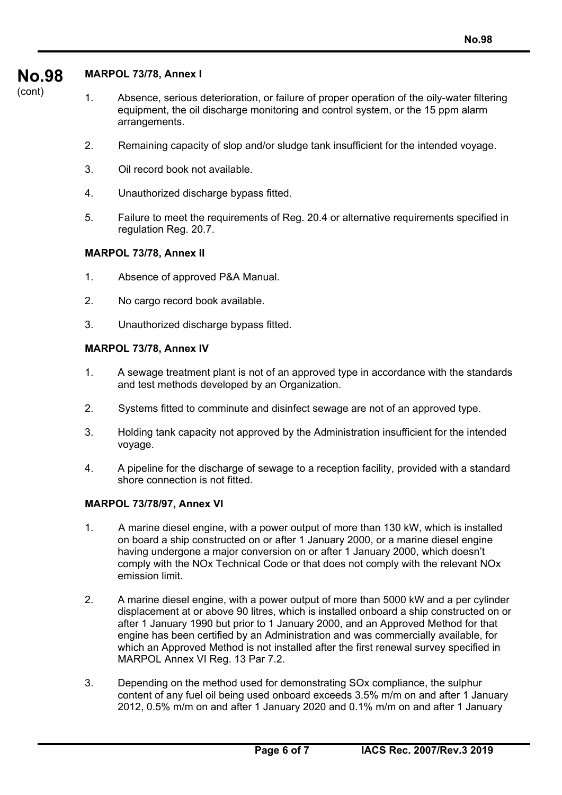#### **No.98 MARPOL 73/78, Annex I**

(cont)

- 1. Absence, serious deterioration, or failure of proper operation of the oily-water filtering equipment, the oil discharge monitoring and control system, or the 15 ppm alarm arrangements.
- 2. Remaining capacity of slop and/or sludge tank insufficient for the intended voyage.
- 3. Oil record book not available.
- 4. Unauthorized discharge bypass fitted.
- 5. Failure to meet the requirements of Reg. 20.4 or alternative requirements specified in regulation Reg. 20.7.

#### **MARPOL 73/78, Annex II**

- 1. Absence of approved P&A Manual.
- 2. No cargo record book available.
- 3. Unauthorized discharge bypass fitted.

#### **MARPOL 73/78, Annex IV**

- 1. A sewage treatment plant is not of an approved type in accordance with the standards and test methods developed by an Organization.
- 2. Systems fitted to comminute and disinfect sewage are not of an approved type.
- 3. Holding tank capacity not approved by the Administration insufficient for the intended voyage.
- 4. A pipeline for the discharge of sewage to a reception facility, provided with a standard shore connection is not fitted.

#### **MARPOL 73/78/97, Annex VI**

- 1. A marine diesel engine, with a power output of more than 130 kW, which is installed on board a ship constructed on or after 1 January 2000, or a marine diesel engine having undergone a major conversion on or after 1 January 2000, which doesn't comply with the NOx Technical Code or that does not comply with the relevant NOx emission limit.
- 2. A marine diesel engine, with a power output of more than 5000 kW and a per cylinder displacement at or above 90 litres, which is installed onboard a ship constructed on or after 1 January 1990 but prior to 1 January 2000, and an Approved Method for that engine has been certified by an Administration and was commercially available, for which an Approved Method is not installed after the first renewal survey specified in MARPOL Annex VI Reg. 13 Par 7.2.
- 3. Depending on the method used for demonstrating SOx compliance, the sulphur content of any fuel oil being used onboard exceeds 3.5% m/m on and after 1 January 2012, 0.5% m/m on and after 1 January 2020 and 0.1% m/m on and after 1 January